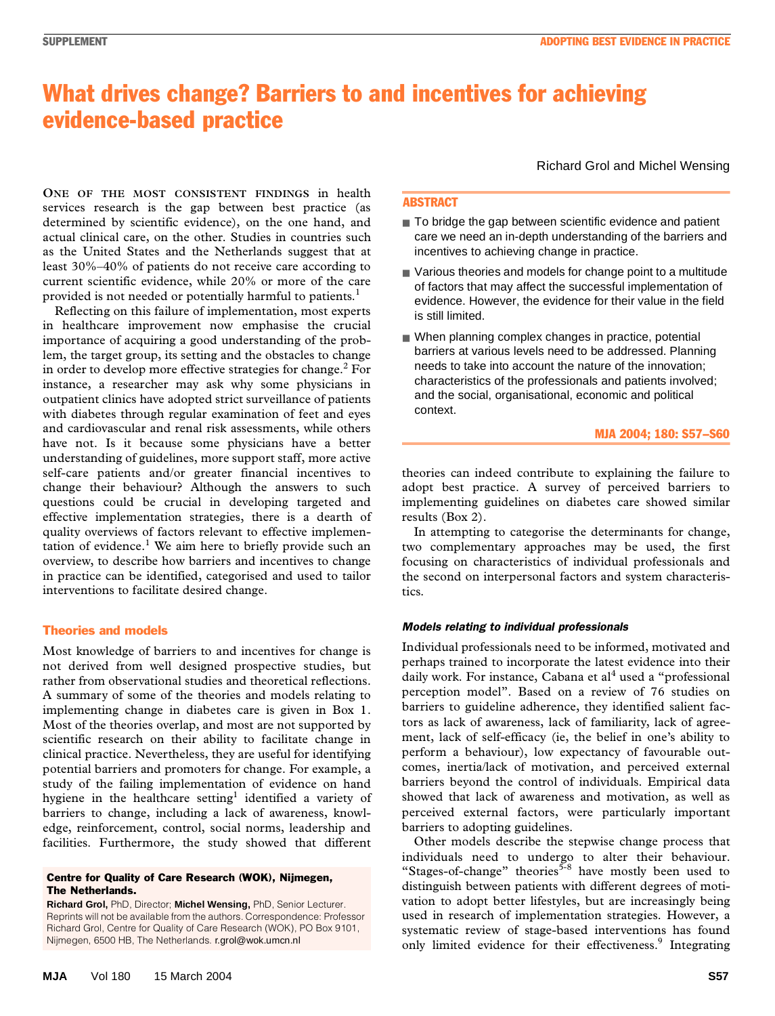# What drives change? Barriers to and incentives for achieving evidence-based practice

as the United States and the Netherlands suggest that at least 30%-40% of patients do not receive care according to current scientific evidence, while 20% or more of the care provided is not needed or potentially harmful to patients.<sup>1</sup> **ONE OF THE MOST CONSISTENT FINDINGS** in health services research is the gap between best practice (as determined by scientific evidence), on the one hand, and actual clinical care, on the other. Studies in countries such

Reflecting on this failure of implementation, most experts in healthcare improvement now emphasise the crucial importance of acquiring a good understanding of the problem, the target group, its setting and the obstacles to change in order to develop more effective strategies for change.<sup>2</sup> For instance, a researcher may ask why some physicians in outpatient clinics have adopted strict surveillance of patients with diabetes through regular examination of feet and eyes and cardiovascular and renal risk assessments, while others have not. Is it because some physicians have a better understanding of guidelines, more support staff, more active self-care patients and/or greater financial incentives to change their behaviour? Although the answers to such questions could be crucial in developing targeted and effective implementation strategies, there is a dearth of quality overviews of factors relevant to effective implementation of evidence.<sup>1</sup> We aim here to briefly provide such an overview, to describe how barriers and incentives to change in practice can be identified, categorised and used to tailor interventions to facilitate desired change.

# Theories and models

Most knowledge of barriers to and incentives for change is not derived from well designed prospective studies, but rather from observational studies and theoretical reflections. A summary of some of the theories and models relating to implementing change in diabetes care is given in Box 1. Most of the theories overlap, and most are not supported by scientific research on their ability to facilitate change in clinical practice. Nevertheless, they are useful for identifying potential barriers and promoters for change. For example, a study of the failing implementation of evidence on hand hygiene in the healthcare setting<sup>1</sup> identified a variety of barriers to change, including a lack of awareness, knowledge, reinforcement, control, social norms, leadership and facilities. Furthermore, the study showed that different

#### Centre for Quality of Care Research (WOK), Nijmegen, The Netherlands.

**Richard Grol,** PhD, Director; **Michel Wensing,** PhD, Senior Lecturer. Reprints will not be available from the authors. Correspondence: Professor Richard Grol, Centre for Quality of Care Research (WOK), PO Box 9101, Nijmegen, 6500 HB, The Netherlands. r.grol@wok.umcn.nl

Richard Grol and Michel Wensing

## ABSTRACT

- To bridge the gap between scientific evidence and patient care we need an in-depth understanding of the barriers and incentives to achieving change in practice.
- Various theories and models for change point to a multitude of factors that may affect the successful implementation of evidence. However, the evidence for their value in the field is still limited.
- When planning complex changes in practice, potential barriers at various levels need to be addressed. Planning needs to take into account the nature of the innovation; characteristics of the professionals and patients involved; and the social, organisational, economic and political context.

#### MJA 2004; 180: S57–S60

theories can indeed contribute to explaining the failure to adopt best practice. A survey of perceived barriers to implementing guidelines on diabetes care showed similar results (Box 2).

In attempting to categorise the determinants for change, two complementary approaches may be used, the first focusing on characteristics of individual professionals and the second on interpersonal factors and system characteristics.

## *Models relating to individual professionals*

Individual professionals need to be informed, motivated and perhaps trained to incorporate the latest evidence into their daily work. For instance, Cabana et al<sup>4</sup> used a "professional perception model". Based on a review of 76 studies on barriers to guideline adherence, they identified salient factors as lack of awareness, lack of familiarity, lack of agreement, lack of self-efficacy (ie, the belief in one's ability to perform a behaviour), low expectancy of favourable outcomes, inertia/lack of motivation, and perceived external barriers beyond the control of individuals. Empirical data showed that lack of awareness and motivation, as well as perceived external factors, were particularly important barriers to adopting guidelines.

Other models describe the stepwise change process that individuals need to undergo to alter their behaviour. "Stages-of-change" theories<sup>5-8</sup> have mostly been used to distinguish between patients with different degrees of motivation to adopt better lifestyles, but are increasingly being used in research of implementation strategies. However, a systematic review of stage-based interventions has found only limited evidence for their effectiveness.<sup>9</sup> Integrating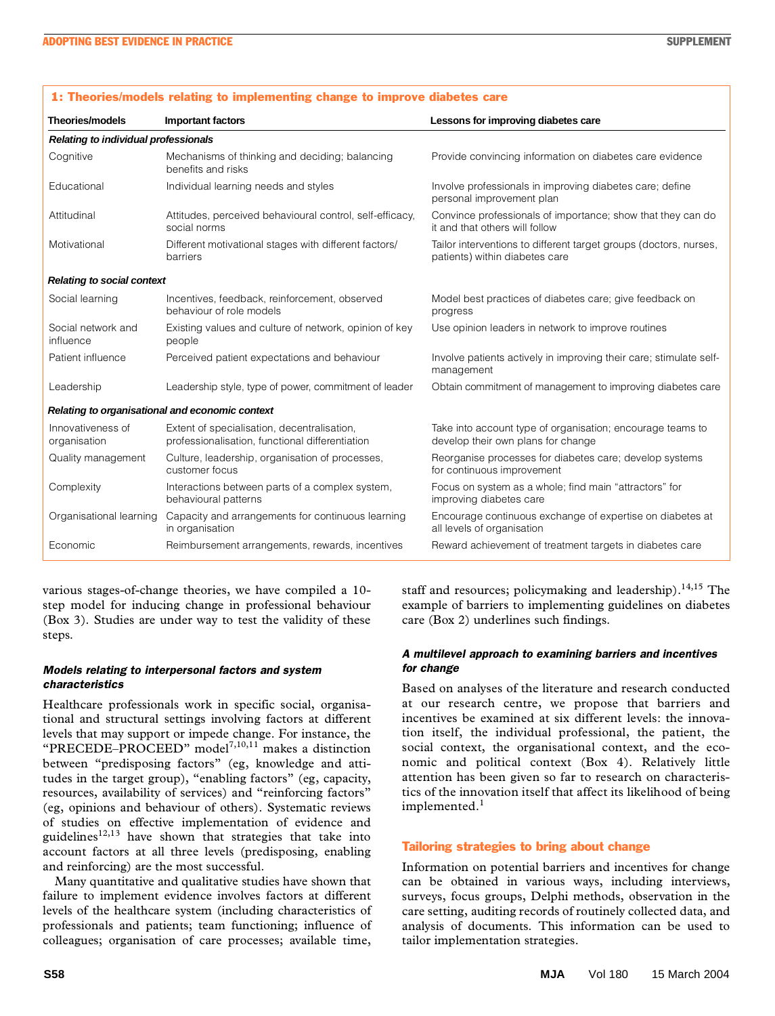| <b>THEORICALITY AND LONGING TO MANUFACTION</b> CHANGE TO MINITY AND MANUFUS |                                                                                                |                                                                                                     |  |  |  |  |
|-----------------------------------------------------------------------------|------------------------------------------------------------------------------------------------|-----------------------------------------------------------------------------------------------------|--|--|--|--|
| <b>Theories/models</b>                                                      | <b>Important factors</b>                                                                       | Lessons for improving diabetes care                                                                 |  |  |  |  |
| <b>Relating to individual professionals</b>                                 |                                                                                                |                                                                                                     |  |  |  |  |
| Cognitive                                                                   | Mechanisms of thinking and deciding; balancing<br>benefits and risks                           | Provide convincing information on diabetes care evidence                                            |  |  |  |  |
| Educational                                                                 | Individual learning needs and styles                                                           | Involve professionals in improving diabetes care; define<br>personal improvement plan               |  |  |  |  |
| Attitudinal                                                                 | Attitudes, perceived behavioural control, self-efficacy,<br>social norms                       | Convince professionals of importance; show that they can do<br>it and that others will follow       |  |  |  |  |
| Motivational                                                                | Different motivational stages with different factors/<br>barriers                              | Tailor interventions to different target groups (doctors, nurses,<br>patients) within diabetes care |  |  |  |  |
| <b>Relating to social context</b>                                           |                                                                                                |                                                                                                     |  |  |  |  |
| Social learning                                                             | Incentives, feedback, reinforcement, observed<br>behaviour of role models                      | Model best practices of diabetes care; give feedback on<br>progress                                 |  |  |  |  |
| Social network and<br>influence                                             | Existing values and culture of network, opinion of key<br>people                               | Use opinion leaders in network to improve routines                                                  |  |  |  |  |
| Patient influence                                                           | Perceived patient expectations and behaviour                                                   | Involve patients actively in improving their care; stimulate self-<br>management                    |  |  |  |  |
| Leadership                                                                  | Leadership style, type of power, commitment of leader                                          | Obtain commitment of management to improving diabetes care                                          |  |  |  |  |
| Relating to organisational and economic context                             |                                                                                                |                                                                                                     |  |  |  |  |
| Innovativeness of<br>organisation                                           | Extent of specialisation, decentralisation,<br>professionalisation, functional differentiation | Take into account type of organisation; encourage teams to<br>develop their own plans for change    |  |  |  |  |
| Quality management                                                          | Culture, leadership, organisation of processes,<br>customer focus                              | Reorganise processes for diabetes care; develop systems<br>for continuous improvement               |  |  |  |  |
| Complexity                                                                  | Interactions between parts of a complex system,<br>behavioural patterns                        | Focus on system as a whole; find main "attractors" for<br>improving diabetes care                   |  |  |  |  |
| Organisational learning                                                     | Capacity and arrangements for continuous learning<br>in organisation                           | Encourage continuous exchange of expertise on diabetes at<br>all levels of organisation             |  |  |  |  |
| Economic                                                                    | Reimbursement arrangements, rewards, incentives                                                | Reward achievement of treatment targets in diabetes care                                            |  |  |  |  |

1: Theories/models relating to implementing change to improve diabetes care

various stages-of-change theories, we have compiled a 10 step model for inducing change in professional behaviour (Box 3). Studies are under way to test the validity of these steps.

## *Models relating to interpersonal factors and system characteristics*

Healthcare professionals work in specific social, organisational and structural settings involving factors at different levels that may support or impede change. For instance, the "PRECEDE–PROCEED" model7,10,11 makes a distinction between "predisposing factors" (eg, knowledge and attitudes in the target group), "enabling factors" (eg, capacity, resources, availability of services) and "reinforcing factors" (eg, opinions and behaviour of others). Systematic reviews of studies on effective implementation of evidence and guidelines<sup>12,13</sup> have shown that strategies that take into account factors at all three levels (predisposing, enabling and reinforcing) are the most successful.

Many quantitative and qualitative studies have shown that failure to implement evidence involves factors at different levels of the healthcare system (including characteristics of professionals and patients; team functioning; influence of colleagues; organisation of care processes; available time,

staff and resources; policymaking and leadership). $14,15$  The example of barriers to implementing guidelines on diabetes care (Box 2) underlines such findings.

#### *A multilevel approach to examining barriers and incentives for change*

Based on analyses of the literature and research conducted at our research centre, we propose that barriers and incentives be examined at six different levels: the innovation itself, the individual professional, the patient, the social context, the organisational context, and the economic and political context (Box 4). Relatively little attention has been given so far to research on characteristics of the innovation itself that affect its likelihood of being implemented.<sup>1</sup>

## Tailoring strategies to bring about change

Information on potential barriers and incentives for change can be obtained in various ways, including interviews, surveys, focus groups, Delphi methods, observation in the care setting, auditing records of routinely collected data, and analysis of documents. This information can be used to tailor implementation strategies.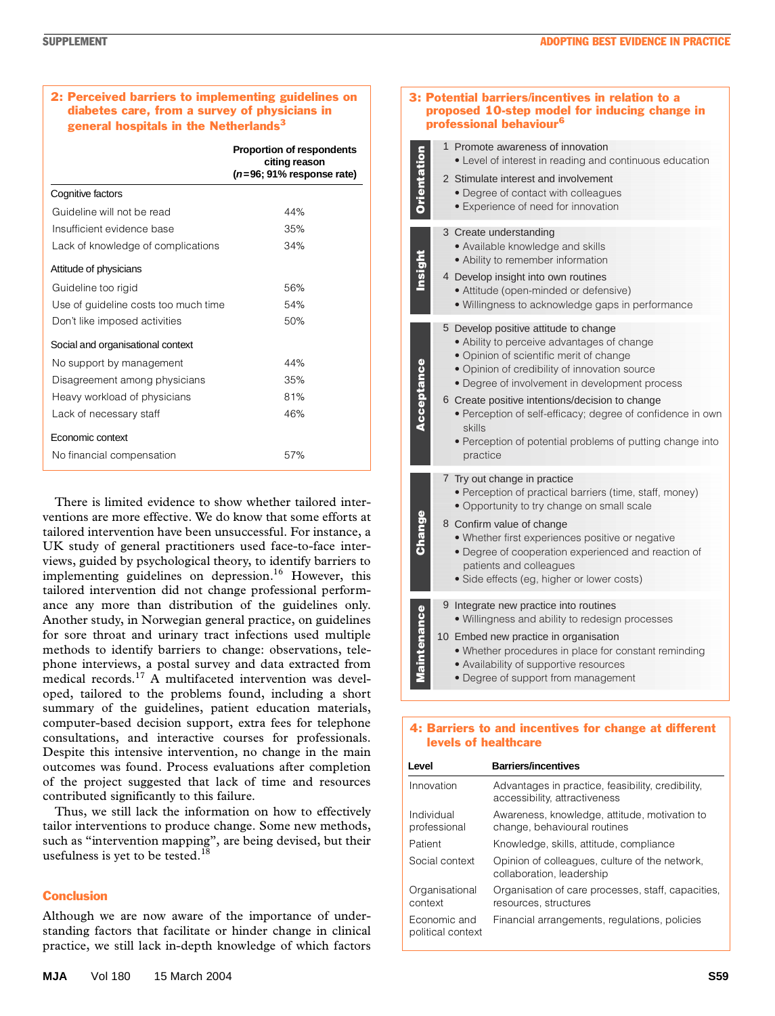## 2: Perceived barriers to implementing guidelines on diabetes care, from a survey of physicians in general hospitals in the Netherlands $3$

|                                      | <b>Proportion of respondents</b><br>citing reason<br>$(n=96; 91\%$ response rate) |  |
|--------------------------------------|-----------------------------------------------------------------------------------|--|
| Cognitive factors                    |                                                                                   |  |
| Guideline will not be read           | 44%                                                                               |  |
| Insufficient evidence base           | 35%                                                                               |  |
| Lack of knowledge of complications   | 34%                                                                               |  |
| Attitude of physicians               |                                                                                   |  |
| Guideline too rigid                  | 56%                                                                               |  |
| Use of guideline costs too much time | 54%                                                                               |  |
| Don't like imposed activities        | 50%                                                                               |  |
| Social and organisational context    |                                                                                   |  |
| No support by management             | 44%                                                                               |  |
| Disagreement among physicians        | 35%                                                                               |  |
| Heavy workload of physicians         | 81%                                                                               |  |
| Lack of necessary staff              | 46%                                                                               |  |
| Economic context                     |                                                                                   |  |
| No financial compensation            | 57%                                                                               |  |

There is limited evidence to show whether tailored interventions are more effective. We do know that some efforts at tailored intervention have been unsuccessful. For instance, a UK study of general practitioners used face-to-face interviews, guided by psychological theory, to identify barriers to implementing guidelines on depression.<sup>16</sup> However, this tailored intervention did not change professional performance any more than distribution of the guidelines only. Another study, in Norwegian general practice, on guidelines for sore throat and urinary tract infections used multiple methods to identify barriers to change: observations, telephone interviews, a postal survey and data extracted from medical records.17 A multifaceted intervention was developed, tailored to the problems found, including a short summary of the guidelines, patient education materials, computer-based decision support, extra fees for telephone consultations, and interactive courses for professionals. Despite this intensive intervention, no change in the main outcomes was found. Process evaluations after completion of the project suggested that lack of time and resources contributed significantly to this failure.

Thus, we still lack the information on how to effectively tailor interventions to produce change. Some new methods, such as "intervention mapping", are being devised, but their usefulness is yet to be tested.<sup>18</sup>

## **Conclusion**

Although we are now aware of the importance of understanding factors that facilitate or hinder change in clinical practice, we still lack in-depth knowledge of which factors

| <b>Orientation</b> | 1 Promote awareness of innovation<br>• Level of interest in reading and continuous education<br>2 Stimulate interest and involvement<br>• Degree of contact with colleagues<br>• Experience of need for innovation                                                                                                                                                                                                                    |
|--------------------|---------------------------------------------------------------------------------------------------------------------------------------------------------------------------------------------------------------------------------------------------------------------------------------------------------------------------------------------------------------------------------------------------------------------------------------|
| Insight            | 3 Create understanding<br>· Available knowledge and skills<br>• Ability to remember information<br>4 Develop insight into own routines<br>• Attitude (open-minded or defensive)<br>. Willingness to acknowledge gaps in performance                                                                                                                                                                                                   |
| Acceptance         | 5 Develop positive attitude to change<br>• Ability to perceive advantages of change<br>· Opinion of scientific merit of change<br>· Opinion of credibility of innovation source<br>• Degree of involvement in development process<br>6 Create positive intentions/decision to change<br>· Perception of self-efficacy; degree of confidence in own<br>skills<br>· Perception of potential problems of putting change into<br>practice |
| Change             | 7 Try out change in practice<br>· Perception of practical barriers (time, staff, money)<br>• Opportunity to try change on small scale<br>8 Confirm value of change<br>· Whether first experiences positive or negative<br>· Degree of cooperation experienced and reaction of<br>patients and colleagues<br>• Side effects (eg, higher or lower costs)                                                                                |
| Maintenance        | 9 Integrate new practice into routines<br>. Willingness and ability to redesign processes<br>10 Embed new practice in organisation<br>. Whether procedures in place for constant reminding<br>• Availability of supportive resources<br>• Degree of support from management                                                                                                                                                           |

3: Potential barriers/incentives in relation to a proposed 10-step model for inducing change in

professional behaviour<sup>6</sup>

#### • Degree of support from management

 $\mathbf{z}$ 

## 4: Barriers to and incentives for change at different levels of healthcare

| Level                             | <b>Barriers/incentives</b>                                                         |  |  |
|-----------------------------------|------------------------------------------------------------------------------------|--|--|
| Innovation                        | Advantages in practice, feasibility, credibility,<br>accessibility, attractiveness |  |  |
| Individual<br>professional        | Awareness, knowledge, attitude, motivation to<br>change, behavioural routines      |  |  |
| Patient                           | Knowledge, skills, attitude, compliance                                            |  |  |
| Social context                    | Opinion of colleagues, culture of the network,<br>collaboration, leadership        |  |  |
| Organisational<br>context         | Organisation of care processes, staff, capacities,<br>resources, structures        |  |  |
| Economic and<br>political context | Financial arrangements, regulations, policies                                      |  |  |